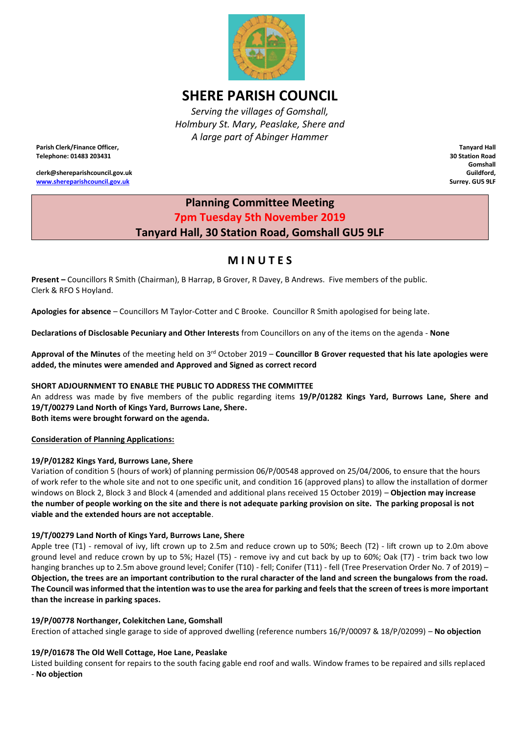

# **SHERE PARISH COUNCIL**

*Serving the villages of Gomshall, Holmbury St. Mary, Peaslake, Shere and A large part of Abinger Hammer*

**Parish Clerk/Finance Officer, Telephone: 01483 203431**

**clerk@shereparishcouncil.gov.uk [www.shereparishcouncil.gov.uk](http://www.shereparishcouncil.gov.uk/)**

**Tanyard Hall 30 Station Road Gomshall Guildford, Surrey. GU5 9LF**

## **Planning Committee Meeting 7pm Tuesday 5th November 2019 Tanyard Hall, 30 Station Road, Gomshall GU5 9LF**

## **M I N U T E S**

**Present –** Councillors R Smith (Chairman), B Harrap, B Grover, R Davey, B Andrews. Five members of the public. Clerk & RFO S Hoyland.

**Apologies for absence** – Councillors M Taylor-Cotter and C Brooke. Councillor R Smith apologised for being late.

**Declarations of Disclosable Pecuniary and Other Interests** from Councillors on any of the items on the agenda - **None**

Approval of the Minutes of the meeting held on 3<sup>rd</sup> October 2019 – Councillor B Grover requested that his late apologies were **added, the minutes were amended and Approved and Signed as correct record**

## **SHORT ADJOURNMENT TO ENABLE THE PUBLIC TO ADDRESS THE COMMITTEE**

An address was made by five members of the public regarding items **19/P/01282 Kings Yard, Burrows Lane, Shere and 19/T/00279 Land North of Kings Yard, Burrows Lane, Shere. Both items were brought forward on the agenda.**

**Consideration of Planning Applications:**

## **19/P/01282 Kings Yard, Burrows Lane, Shere**

Variation of condition 5 (hours of work) of planning permission 06/P/00548 approved on 25/04/2006, to ensure that the hours of work refer to the whole site and not to one specific unit, and condition 16 (approved plans) to allow the installation of dormer windows on Block 2, Block 3 and Block 4 (amended and additional plans received 15 October 2019) – **Objection may increase the number of people working on the site and there is not adequate parking provision on site. The parking proposal is not viable and the extended hours are not acceptable**.

## **19/T/00279 Land North of Kings Yard, Burrows Lane, Shere**

Apple tree (T1) - removal of ivy, lift crown up to 2.5m and reduce crown up to 50%; Beech (T2) - lift crown up to 2.0m above ground level and reduce crown by up to 5%; Hazel (T5) - remove ivy and cut back by up to 60%; Oak (T7) - trim back two low hanging branches up to 2.5m above ground level; Conifer (T10) - fell; Conifer (T11) - fell (Tree Preservation Order No. 7 of 2019) – **Objection, the trees are an important contribution to the rural character of the land and screen the bungalows from the road. The Council was informed that the intention was to use the area for parking and feels that the screen of trees is more important than the increase in parking spaces.** 

## **19/P/00778 Northanger, Colekitchen Lane, Gomshall**

Erection of attached single garage to side of approved dwelling (reference numbers 16/P/00097 & 18/P/02099) – **No objection** 

## **19/P/01678 The Old Well Cottage, Hoe Lane, Peaslake**

Listed building consent for repairs to the south facing gable end roof and walls. Window frames to be repaired and sills replaced - **No objection**